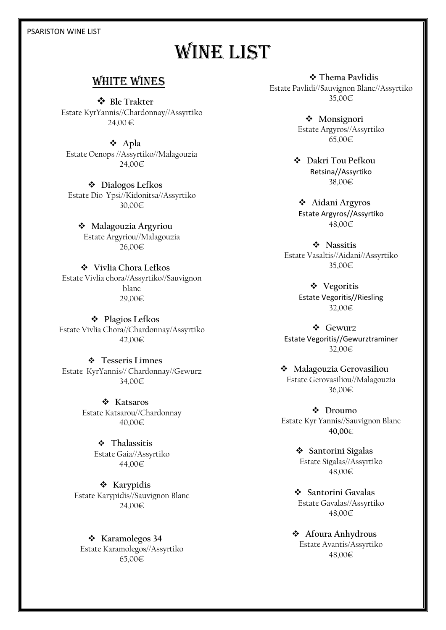#### PSARISTON WINE LIST

# WINE LIST

### WHITE wines

 **Ble Trakter** Estate KyrYannis//Chardonnay//Assyrtiko 24,00 €

 **Apla** Estate Oenops //Assyrtiko//Malagouzia 24,00€

 **Dialogos Lefkos** Estate Dio Ypsi//Kidonitsa//Assyrtiko 30,00€

 **Malagouzia Argyriou** Estate Argyriou//Malagouzia 26,00€

 **Vivlia Chora Lefkos** Estate Vivlia chora//Assyrtiko//Sauvignon blanc 29,00€

 **Plagios Lefkos** Estate Vivlia Chora//Chardonnay/Assyrtiko 42,00€

 **Tesseris Limnes**  Estate KyrYannis// Chardonnay//Gewurz 34,00€

> **Katsaros** Estate Katsarou//Chardonnay 40,00€

> > **Thalassitis** Estate Gaia//Assyrtiko 44,00€

**❖** Karypidis Estate Karypidis//Sauvignon Blanc 24,00€

**❖** Karamolegos 34 Estate Karamolegos//Assyrtiko 65,00€

 **Thema Pavlidis** Estate Pavlidi//Sauvignon Blanc//Assyrtiko 35,00€

> **Monsignori** Estate Argyros//Assyrtiko 65,00€

 **Dakri Tou Pefkou** Retsina//Assyrtiko 38,00€

 **Aidani Argyros** Estate Argyros//Assyrtiko 48,00€

 **Nassitis** Estate Vasaltis//Aidani//Assyrtiko 35,00€

> **Vegoritis** Estate Vegoritis//Riesling 32,00€

 **Gewurz** Estate Vegoritis//Gewurztraminer 32,00€

 **Malagouzia Gerovasiliou** Estate Gerovasiliou//Malagouzia 36,00€

 **Droumo** Estate Kyr Yannis//Sauvignon Blanc **40,00**€

> **Santorini Sigalas** Estate Sigalas//Assyrtiko 48,00€

 **Santorini Gavalas** Estate Gavalas//Assyrtiko 48,00€

 **Afoura Anhydrous** Estate Avantis/Assyrtiko 48,00€